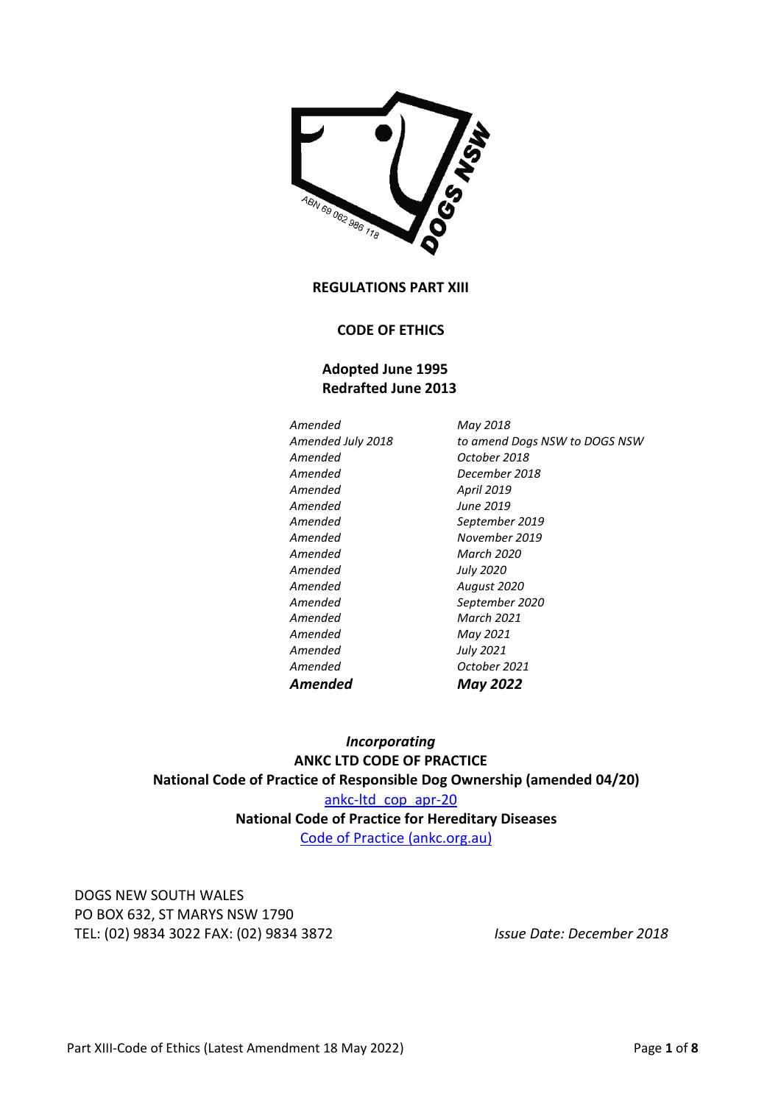

**REGULATIONS PART XIII** 

#### **CODE OF ETHICS**

# **Adopted June 1995 Redrafted June 2013**

*Amended April 2019 Amended June 2019 Amended March 2020 Amended July 2020 Amended March 2021 Amended May 2021 Amended July 2021* 

*Amended May 2018 Amended July 2018 to amend Dogs NSW to DOGS NSW Amended October 2018 Amended December 2018 Amended September 2019 Amended November 2019 Amended August 2020 Amended September 2020 Amended October 2021 Amended May 2022* 

*Incorporating*  **ANKC LTD CODE OF PRACTICE National Code of Practice of Responsible Dog Ownership (amended 04/20)**  ankc-ltd\_cop\_apr-20 **National Code of Practice for Hereditary Diseases**  Code of Practice (ankc.org.au)

DOGS NEW SOUTH WALES PO BOX 632, ST MARYS NSW 1790 TEL: (02) 9834 3022 FAX: (02) 9834 3872 *Issue Date: December 2018*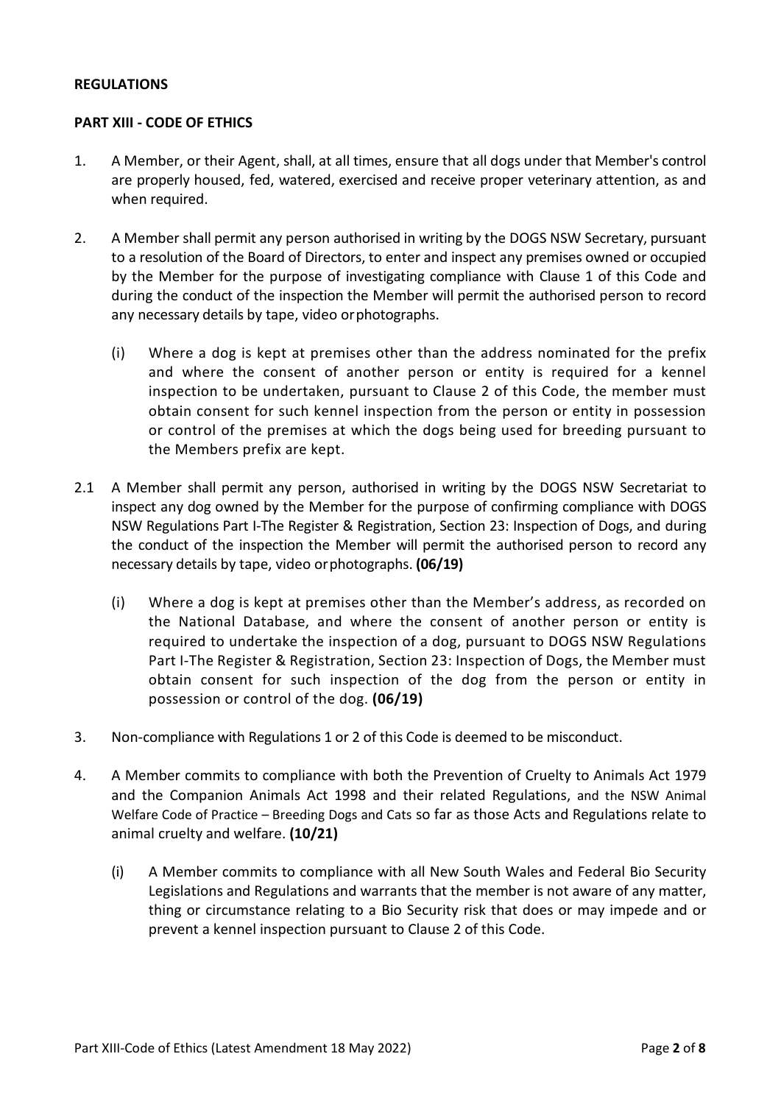#### **REGULATIONS**

#### **PART XIII - CODE OF ETHICS**

- 1. A Member, or their Agent, shall, at all times, ensure that all dogs under that Member's control are properly housed, fed, watered, exercised and receive proper veterinary attention, as and when required.
- 2. A Member shall permit any person authorised in writing by the DOGS NSW Secretary, pursuant to a resolution of the Board of Directors, to enter and inspect any premises owned or occupied by the Member for the purpose of investigating compliance with Clause 1 of this Code and during the conduct of the inspection the Member will permit the authorised person to record any necessary details by tape, video or photographs.
	- (i) Where a dog is kept at premises other than the address nominated for the prefix and where the consent of another person or entity is required for a kennel inspection to be undertaken, pursuant to Clause 2 of this Code, the member must obtain consent for such kennel inspection from the person or entity in possession or control of the premises at which the dogs being used for breeding pursuant to the Members prefix are kept.
- 2.1 A Member shall permit any person, authorised in writing by the DOGS NSW Secretariat to inspect any dog owned by the Member for the purpose of confirming compliance with DOGS NSW Regulations Part I-The Register & Registration, Section 23: Inspection of Dogs, and during the conduct of the inspection the Member will permit the authorised person to record any necessary details by tape, video or photographs. **(06/19)** 
	- (i) Where a dog is kept at premises other than the Member's address, as recorded on the National Database, and where the consent of another person or entity is required to undertake the inspection of a dog, pursuant to DOGS NSW Regulations Part I-The Register & Registration, Section 23: Inspection of Dogs, the Member must obtain consent for such inspection of the dog from the person or entity in possession or control of the dog. **(06/19)**
- 3. Non-compliance with Regulations 1 or 2 of this Code is deemed to be misconduct.
- 4. A Member commits to compliance with both the Prevention of Cruelty to Animals Act 1979 and the Companion Animals Act 1998 and their related Regulations, and the NSW Animal Welfare Code of Practice – Breeding Dogs and Cats so far as those Acts and Regulations relate to animal cruelty and welfare. **(10/21)** 
	- (i) A Member commits to compliance with all New South Wales and Federal Bio Security Legislations and Regulations and warrants that the member is not aware of any matter, thing or circumstance relating to a Bio Security risk that does or may impede and or prevent a kennel inspection pursuant to Clause 2 of this Code.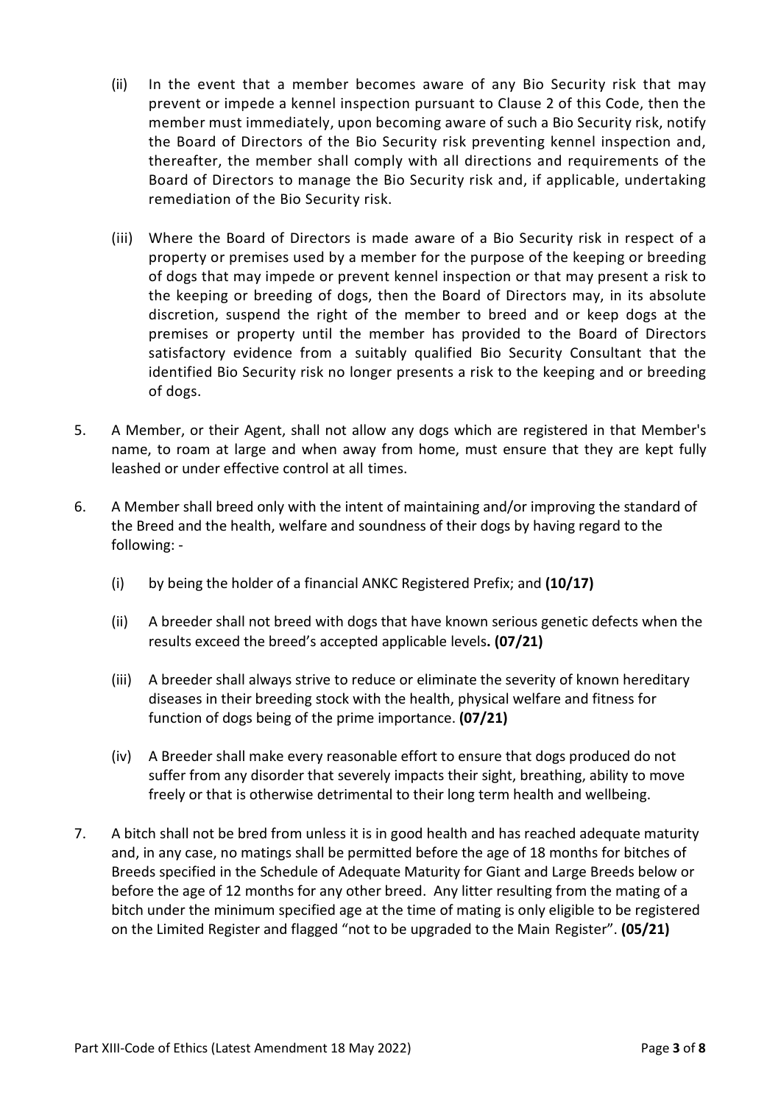- (ii) In the event that a member becomes aware of any Bio Security risk that may prevent or impede a kennel inspection pursuant to Clause 2 of this Code, then the member must immediately, upon becoming aware of such a Bio Security risk, notify the Board of Directors of the Bio Security risk preventing kennel inspection and, thereafter, the member shall comply with all directions and requirements of the Board of Directors to manage the Bio Security risk and, if applicable, undertaking remediation of the Bio Security risk.
- (iii) Where the Board of Directors is made aware of a Bio Security risk in respect of a property or premises used by a member for the purpose of the keeping or breeding of dogs that may impede or prevent kennel inspection or that may present a risk to the keeping or breeding of dogs, then the Board of Directors may, in its absolute discretion, suspend the right of the member to breed and or keep dogs at the premises or property until the member has provided to the Board of Directors satisfactory evidence from a suitably qualified Bio Security Consultant that the identified Bio Security risk no longer presents a risk to the keeping and or breeding of dogs.
- 5. A Member, or their Agent, shall not allow any dogs which are registered in that Member's name, to roam at large and when away from home, must ensure that they are kept fully leashed or under effective control at all times.
- 6. A Member shall breed only with the intent of maintaining and/or improving the standard of the Breed and the health, welfare and soundness of their dogs by having regard to the following: -
	- (i) by being the holder of a financial ANKC Registered Prefix; and **(10/17)**
	- (ii) A breeder shall not breed with dogs that have known serious genetic defects when the results exceed the breed's accepted applicable levels**. (07/21)**
	- (iii) A breeder shall always strive to reduce or eliminate the severity of known hereditary diseases in their breeding stock with the health, physical welfare and fitness for function of dogs being of the prime importance. **(07/21)**
	- (iv) A Breeder shall make every reasonable effort to ensure that dogs produced do not suffer from any disorder that severely impacts their sight, breathing, ability to move freely or that is otherwise detrimental to their long term health and wellbeing.
- 7. A bitch shall not be bred from unless it is in good health and has reached adequate maturity and, in any case, no matings shall be permitted before the age of 18 months for bitches of Breeds specified in the Schedule of Adequate Maturity for Giant and Large Breeds below or before the age of 12 months for any other breed. Any litter resulting from the mating of a bitch under the minimum specified age at the time of mating is only eligible to be registered on the Limited Register and flagged "not to be upgraded to the Main Register". **(05/21)**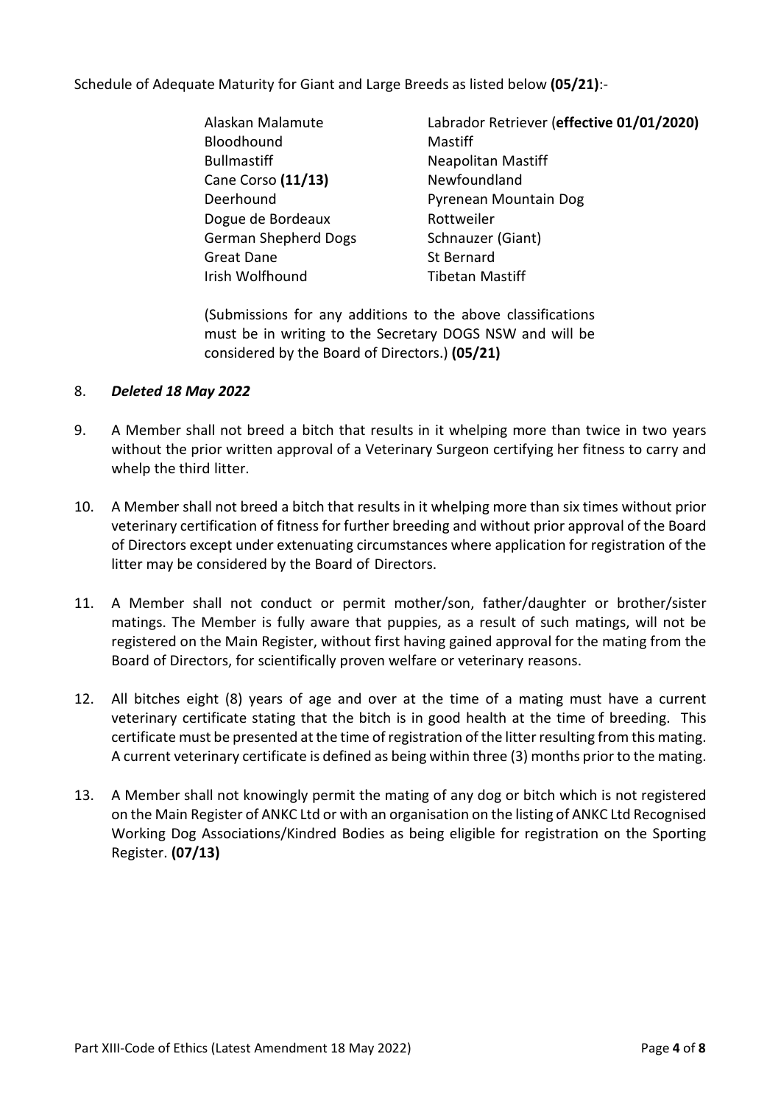Schedule of Adequate Maturity for Giant and Large Breeds as listed below **(05/21)**:-

- Bloodhound Mastiff Bullmastiff **Neapolitan Mastiff** Cane Corso (11/13) **Newfoundland** Dogue de Bordeaux Rottweiler German Shepherd Dogs Schnauzer (Giant) Great Dane St Bernard Irish Wolfhound Tibetan Mastiff
- Alaskan Malamute Labrador Retriever (**effective 01/01/2020)**  Deerhound Pyrenean Mountain Dog

(Submissions for any additions to the above classifications must be in writing to the Secretary DOGS NSW and will be considered by the Board of Directors.) **(05/21)** 

## 8. *Deleted 18 May 2022*

- 9. A Member shall not breed a bitch that results in it whelping more than twice in two years without the prior written approval of a Veterinary Surgeon certifying her fitness to carry and whelp the third litter.
- 10. A Member shall not breed a bitch that results in it whelping more than six times without prior veterinary certification of fitness for further breeding and without prior approval of the Board of Directors except under extenuating circumstances where application for registration of the litter may be considered by the Board of Directors.
- 11. A Member shall not conduct or permit mother/son, father/daughter or brother/sister matings. The Member is fully aware that puppies, as a result of such matings, will not be registered on the Main Register, without first having gained approval for the mating from the Board of Directors, for scientifically proven welfare or veterinary reasons.
- 12. All bitches eight (8) years of age and over at the time of a mating must have a current veterinary certificate stating that the bitch is in good health at the time of breeding. This certificate must be presented at the time of registration of the litter resulting from this mating. A current veterinary certificate is defined as being within three (3) months prior to the mating.
- 13. A Member shall not knowingly permit the mating of any dog or bitch which is not registered on the Main Register of ANKC Ltd or with an organisation on the listing of ANKC Ltd Recognised Working Dog Associations/Kindred Bodies as being eligible for registration on the Sporting Register. **(07/13)**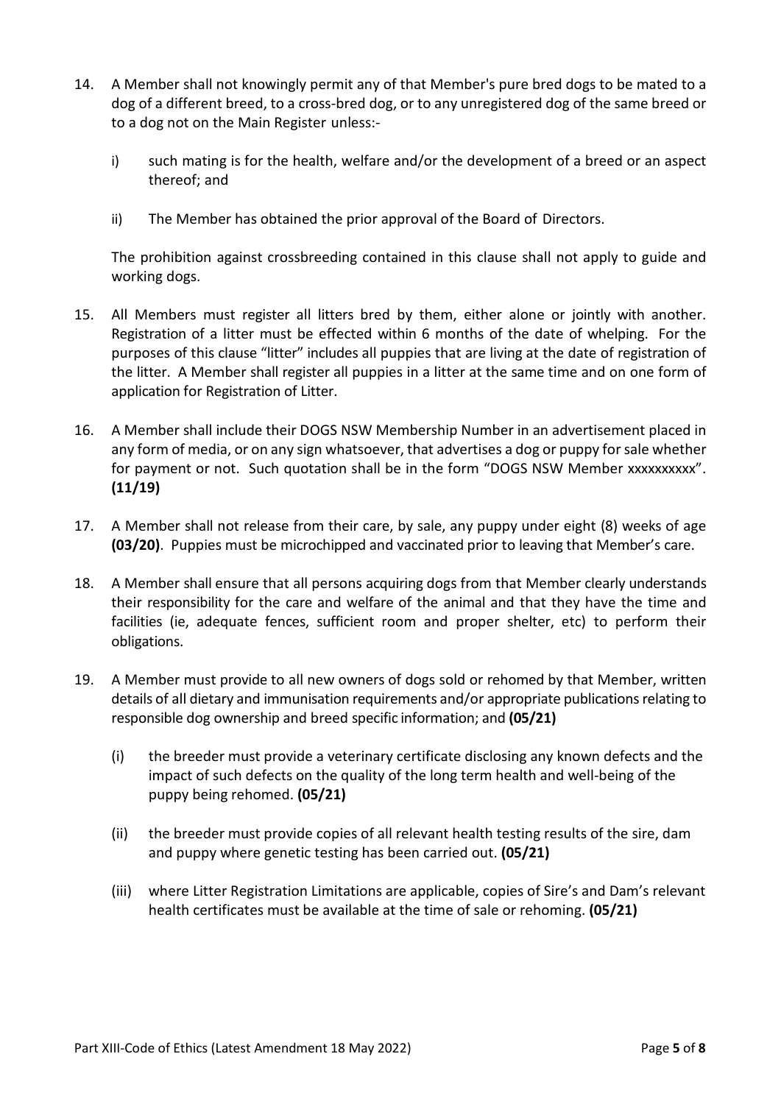- 14. A Member shall not knowingly permit any of that Member's pure bred dogs to be mated to a dog of a different breed, to a cross-bred dog, or to any unregistered dog of the same breed or to a dog not on the Main Register unless:
	- i) such mating is for the health, welfare and/or the development of a breed or an aspect thereof; and
	- ii) The Member has obtained the prior approval of the Board of Directors.

The prohibition against crossbreeding contained in this clause shall not apply to guide and working dogs.

- 15. All Members must register all litters bred by them, either alone or jointly with another. Registration of a litter must be effected within 6 months of the date of whelping. For the purposes of this clause "litter" includes all puppies that are living at the date of registration of the litter. A Member shall register all puppies in a litter at the same time and on one form of application for Registration of Litter.
- 16. A Member shall include their DOGS NSW Membership Number in an advertisement placed in any form of media, or on any sign whatsoever, that advertises a dog or puppy for sale whether for payment or not. Such quotation shall be in the form "DOGS NSW Member xxxxxxxxxx". **(11/19)**
- 17. A Member shall not release from their care, by sale, any puppy under eight (8) weeks of age **(03/20)**. Puppies must be microchipped and vaccinated prior to leaving that Member's care.
- 18. A Member shall ensure that all persons acquiring dogs from that Member clearly understands their responsibility for the care and welfare of the animal and that they have the time and facilities (ie, adequate fences, sufficient room and proper shelter, etc) to perform their obligations.
- 19. A Member must provide to all new owners of dogs sold or rehomed by that Member, written details of all dietary and immunisation requirements and/or appropriate publications relating to responsible dog ownership and breed specific information; and **(05/21)** 
	- (i) the breeder must provide a veterinary certificate disclosing any known defects and the impact of such defects on the quality of the long term health and well-being of the puppy being rehomed. **(05/21)**
	- (ii) the breeder must provide copies of all relevant health testing results of the sire, dam and puppy where genetic testing has been carried out. **(05/21)**
	- (iii) where Litter Registration Limitations are applicable, copies of Sire's and Dam's relevant health certificates must be available at the time of sale or rehoming. **(05/21)**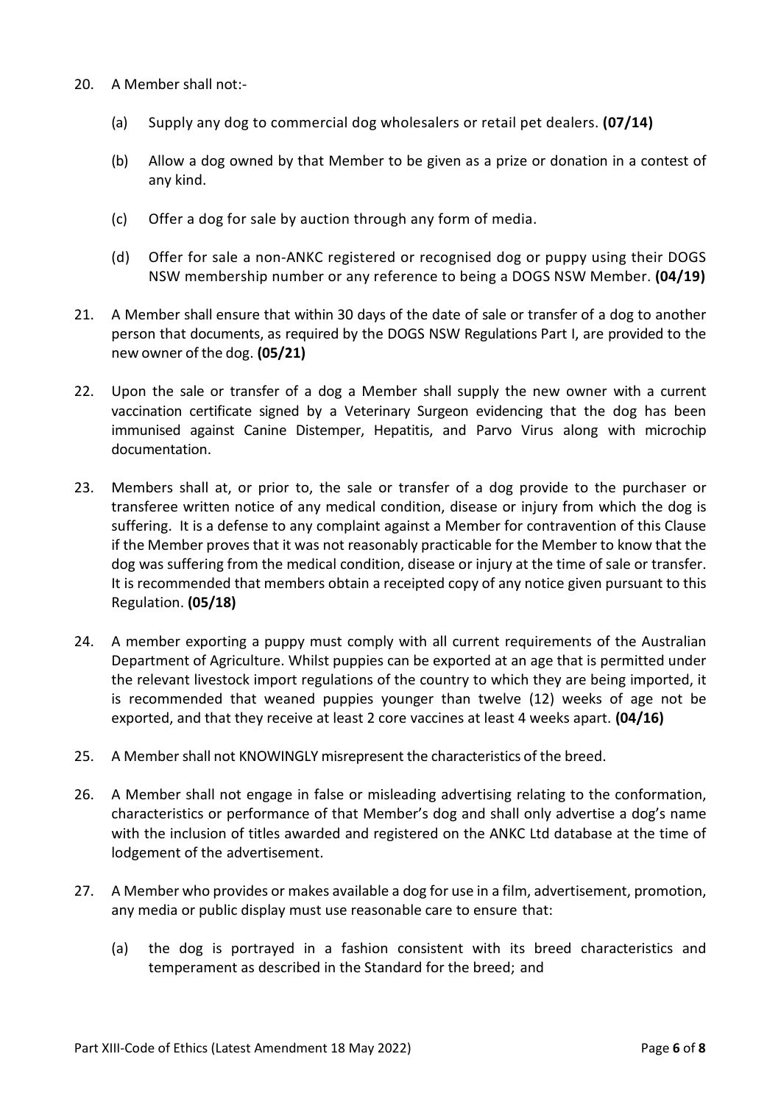- 20. A Member shall not:-
	- (a) Supply any dog to commercial dog wholesalers or retail pet dealers. **(07/14)**
	- (b) Allow a dog owned by that Member to be given as a prize or donation in a contest of any kind.
	- (c) Offer a dog for sale by auction through any form of media.
	- (d) Offer for sale a non-ANKC registered or recognised dog or puppy using their DOGS NSW membership number or any reference to being a DOGS NSW Member. **(04/19)**
- 21. A Member shall ensure that within 30 days of the date of sale or transfer of a dog to another person that documents, as required by the DOGS NSW Regulations Part I, are provided to the new owner of the dog. **(05/21)**
- 22. Upon the sale or transfer of a dog a Member shall supply the new owner with a current vaccination certificate signed by a Veterinary Surgeon evidencing that the dog has been immunised against Canine Distemper, Hepatitis, and Parvo Virus along with microchip documentation.
- 23. Members shall at, or prior to, the sale or transfer of a dog provide to the purchaser or transferee written notice of any medical condition, disease or injury from which the dog is suffering. It is a defense to any complaint against a Member for contravention of this Clause if the Member proves that it was not reasonably practicable for the Member to know that the dog was suffering from the medical condition, disease or injury at the time of sale or transfer. It is recommended that members obtain a receipted copy of any notice given pursuant to this Regulation. **(05/18)**
- 24. A member exporting a puppy must comply with all current requirements of the Australian Department of Agriculture. Whilst puppies can be exported at an age that is permitted under the relevant livestock import regulations of the country to which they are being imported, it is recommended that weaned puppies younger than twelve (12) weeks of age not be exported, and that they receive at least 2 core vaccines at least 4 weeks apart. **(04/16)**
- 25. A Member shall not KNOWINGLY misrepresent the characteristics of the breed.
- 26. A Member shall not engage in false or misleading advertising relating to the conformation, characteristics or performance of that Member's dog and shall only advertise a dog's name with the inclusion of titles awarded and registered on the ANKC Ltd database at the time of lodgement of the advertisement.
- 27. A Member who provides or makes available a dog for use in a film, advertisement, promotion, any media or public display must use reasonable care to ensure that:
	- (a) the dog is portrayed in a fashion consistent with its breed characteristics and temperament as described in the Standard for the breed; and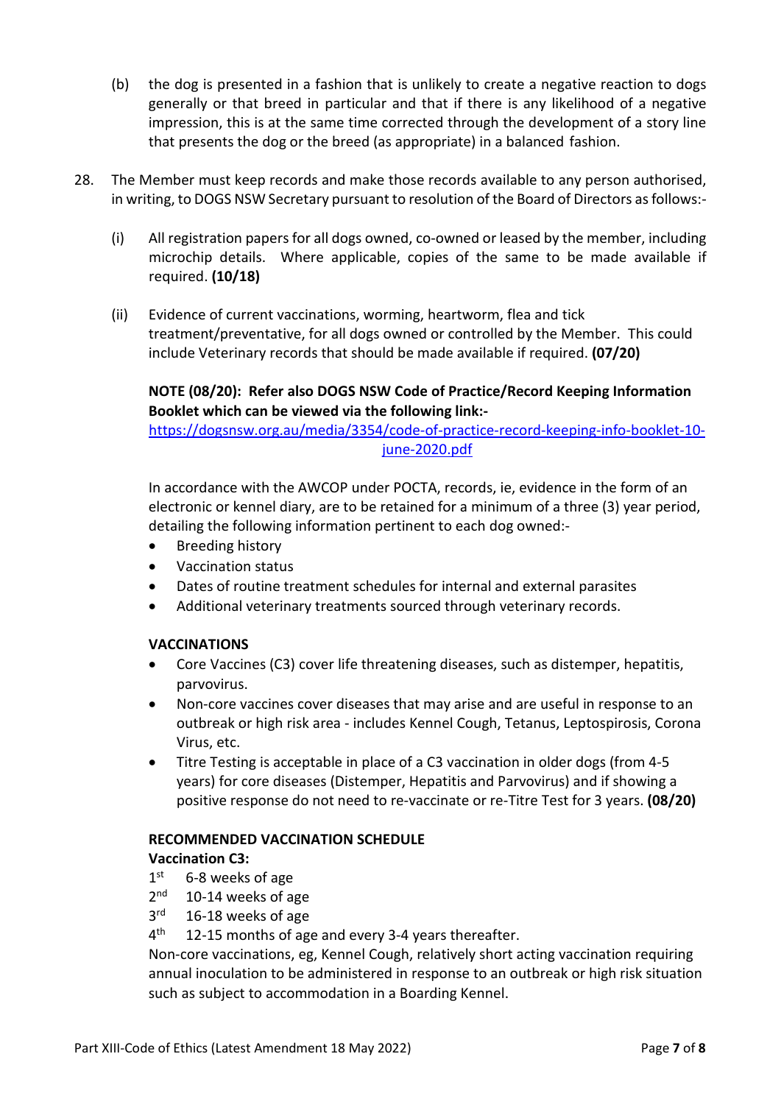- (b) the dog is presented in a fashion that is unlikely to create a negative reaction to dogs generally or that breed in particular and that if there is any likelihood of a negative impression, this is at the same time corrected through the development of a story line that presents the dog or the breed (as appropriate) in a balanced fashion.
- 28. The Member must keep records and make those records available to any person authorised, in writing, to DOGS NSW Secretary pursuant to resolution of the Board of Directors as follows:-
	- (i) All registration papers for all dogs owned, co-owned or leased by the member, including microchip details. Where applicable, copies of the same to be made available if required. **(10/18)**
	- (ii) Evidence of current vaccinations, worming, heartworm, flea and tick treatment/preventative, for all dogs owned or controlled by the Member. This could include Veterinary records that should be made available if required. **(07/20)**

# **NOTE (08/20): Refer also DOGS NSW Code of Practice/Record Keeping Information Booklet which can be viewed via the following link:-**

https://dogsnsw.org.au/media/3354/code-of-practice-record-keeping-info-booklet-10 june-2020.pdf

In accordance with the AWCOP under POCTA, records, ie, evidence in the form of an electronic or kennel diary, are to be retained for a minimum of a three (3) year period, detailing the following information pertinent to each dog owned:-

- Breeding history
- Vaccination status
- Dates of routine treatment schedules for internal and external parasites
- Additional veterinary treatments sourced through veterinary records.

# **VACCINATIONS**

- Core Vaccines (C3) cover life threatening diseases, such as distemper, hepatitis, parvovirus.
- Non-core vaccines cover diseases that may arise and are useful in response to an outbreak or high risk area - includes Kennel Cough, Tetanus, Leptospirosis, Corona Virus, etc.
- Titre Testing is acceptable in place of a C3 vaccination in older dogs (from 4-5 years) for core diseases (Distemper, Hepatitis and Parvovirus) and if showing a positive response do not need to re-vaccinate or re-Titre Test for 3 years. **(08/20)**

#### **RECOMMENDED VACCINATION SCHEDULE**

# **Vaccination C3:**

- $1<sup>st</sup>$ 6-8 weeks of age
- $2<sub>nd</sub>$  $10-14$  weeks of age
- $3<sup>rd</sup>$ 16-18 weeks of age
- $4<sup>th</sup>$ 12-15 months of age and every 3-4 years thereafter.

Non-core vaccinations, eg, Kennel Cough, relatively short acting vaccination requiring annual inoculation to be administered in response to an outbreak or high risk situation such as subject to accommodation in a Boarding Kennel.